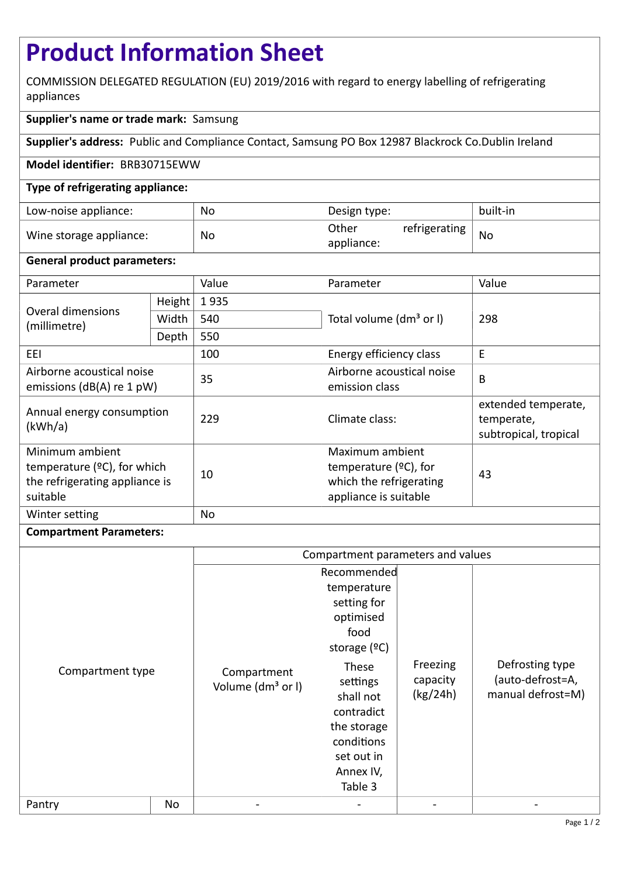# **Product Information Sheet**

COMMISSION DELEGATED REGULATION (EU) 2019/2016 with regard to energy labelling of refrigerating appliances

# **Supplier's name or trade mark:** Samsung

**Supplier's address:** Public and Compliance Contact, Samsung PO Box 12987 Blackrock Co.Dublin Ireland

## **Model identifier:** BRB30715EWW

# **Type of refrigerating appliance:**

| Low-noise appliance:    | No | Design type:                         | built-in  |
|-------------------------|----|--------------------------------------|-----------|
| Wine storage appliance: | No | Other<br>refrigerating<br>appliance: | <b>No</b> |

## **General product parameters:**

| Parameter                                                                                       |        | Value | Parameter                                                                                       | Value                                                      |
|-------------------------------------------------------------------------------------------------|--------|-------|-------------------------------------------------------------------------------------------------|------------------------------------------------------------|
| Overal dimensions<br>(millimetre)                                                               | Height | 1935  |                                                                                                 | 298                                                        |
|                                                                                                 | Width  | 540   | Total volume (dm <sup>3</sup> or I)                                                             |                                                            |
|                                                                                                 | Depth  | 550   |                                                                                                 |                                                            |
| EEI                                                                                             |        | 100   | Energy efficiency class                                                                         | E                                                          |
| Airborne acoustical noise<br>emissions ( $dB(A)$ re 1 pW)                                       |        | 35    | Airborne acoustical noise<br>emission class                                                     | B                                                          |
| Annual energy consumption<br>(kWh/a)                                                            |        | 229   | Climate class:                                                                                  | extended temperate,<br>temperate,<br>subtropical, tropical |
| Minimum ambient<br>temperature $(°C)$ , for which<br>the refrigerating appliance is<br>suitable |        | 10    | Maximum ambient<br>temperature $(2C)$ , for<br>which the refrigerating<br>appliance is suitable | 43                                                         |
| Winter setting                                                                                  |        | No    |                                                                                                 |                                                            |

## **Compartment Parameters:**

|                  |    | Compartment parameters and values            |                                                                                                                                          |                                  |                                                          |
|------------------|----|----------------------------------------------|------------------------------------------------------------------------------------------------------------------------------------------|----------------------------------|----------------------------------------------------------|
| Compartment type |    |                                              | Recommended<br>temperature<br>setting for<br>optimised<br>food                                                                           |                                  |                                                          |
|                  |    | Compartment<br>Volume (dm <sup>3</sup> or I) | storage $(°C)$<br><b>These</b><br>settings<br>shall not<br>contradict<br>the storage<br>conditions<br>set out in<br>Annex IV,<br>Table 3 | Freezing<br>capacity<br>(kg/24h) | Defrosting type<br>(auto-defrost=A,<br>manual defrost=M) |
| Pantry           | No |                                              |                                                                                                                                          |                                  |                                                          |